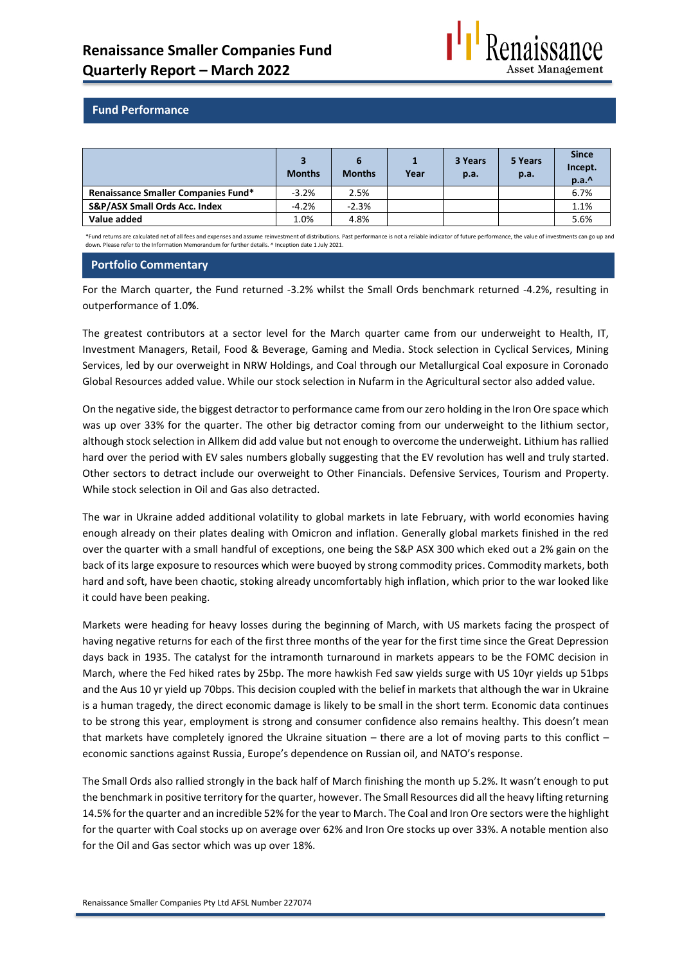

## **Fund Performance**

|                                            | <b>Months</b> | <b>Months</b> | Year | 3 Years<br>p.a. | 5 Years<br>p.a. | <b>Since</b><br>Incept.<br>p.a.^ |
|--------------------------------------------|---------------|---------------|------|-----------------|-----------------|----------------------------------|
| <b>Renaissance Smaller Companies Fund*</b> | $-3.2%$       | 2.5%          |      |                 |                 | 6.7%                             |
| S&P/ASX Small Ords Acc. Index              | $-4.2%$       | $-2.3%$       |      |                 |                 | 1.1%                             |
| Value added                                | 1.0%          | 4.8%          |      |                 |                 | 5.6%                             |

\*Fund returns are calculated net of all fees and expenses and assume reinvestment of distributions. Past performance is not a reliable indicator of future performance, the value of investments can go up and down. Please refer to the Information Memorandum for further details. ^ Inception date 1 July 2021.

## **Portfolio Commentary**

For the March quarter, the Fund returned -3.2% whilst the Small Ords benchmark returned -4.2%, resulting in outperformance of 1.0**%**.

The greatest contributors at a sector level for the March quarter came from our underweight to Health, IT, Investment Managers, Retail, Food & Beverage, Gaming and Media. Stock selection in Cyclical Services, Mining Services, led by our overweight in NRW Holdings, and Coal through our Metallurgical Coal exposure in Coronado Global Resources added value. While our stock selection in Nufarm in the Agricultural sector also added value.

On the negative side, the biggest detractor to performance came from our zero holding in the Iron Ore space which was up over 33% for the quarter. The other big detractor coming from our underweight to the lithium sector, although stock selection in Allkem did add value but not enough to overcome the underweight. Lithium has rallied hard over the period with EV sales numbers globally suggesting that the EV revolution has well and truly started. Other sectors to detract include our overweight to Other Financials. Defensive Services, Tourism and Property. While stock selection in Oil and Gas also detracted.

The war in Ukraine added additional volatility to global markets in late February, with world economies having enough already on their plates dealing with Omicron and inflation. Generally global markets finished in the red over the quarter with a small handful of exceptions, one being the S&P ASX 300 which eked out a 2% gain on the back of its large exposure to resources which were buoyed by strong commodity prices. Commodity markets, both hard and soft, have been chaotic, stoking already uncomfortably high inflation, which prior to the war looked like it could have been peaking.

Markets were heading for heavy losses during the beginning of March, with US markets facing the prospect of having negative returns for each of the first three months of the year for the first time since the Great Depression days back in 1935. The catalyst for the intramonth turnaround in markets appears to be the FOMC decision in March, where the Fed hiked rates by 25bp. The more hawkish Fed saw yields surge with US 10yr yields up 51bps and the Aus 10 yr yield up 70bps. This decision coupled with the belief in markets that although the war in Ukraine is a human tragedy, the direct economic damage is likely to be small in the short term. Economic data continues to be strong this year, employment is strong and consumer confidence also remains healthy. This doesn't mean that markets have completely ignored the Ukraine situation – there are a lot of moving parts to this conflict – economic sanctions against Russia, Europe's dependence on Russian oil, and NATO's response.

The Small Ords also rallied strongly in the back half of March finishing the month up 5.2%. It wasn't enough to put the benchmark in positive territory for the quarter, however. The Small Resources did all the heavy lifting returning 14.5% for the quarter and an incredible 52% for the year to March. The Coal and Iron Ore sectors were the highlight for the quarter with Coal stocks up on average over 62% and Iron Ore stocks up over 33%. A notable mention also for the Oil and Gas sector which was up over 18%.